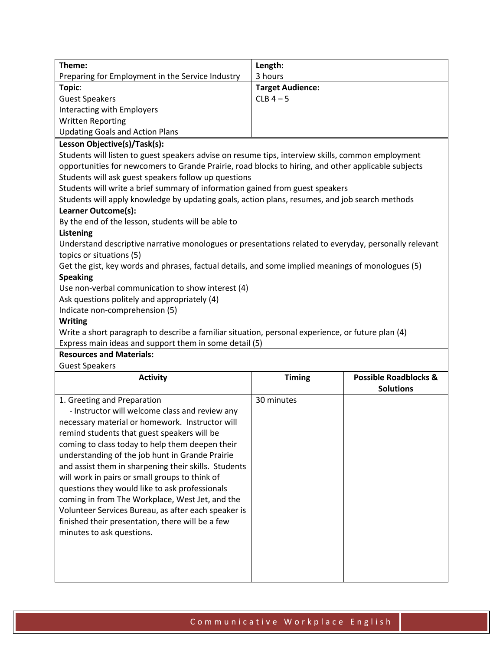| Theme:                                                                                                                                                      | Length:                 |                                  |  |
|-------------------------------------------------------------------------------------------------------------------------------------------------------------|-------------------------|----------------------------------|--|
| Preparing for Employment in the Service Industry                                                                                                            | 3 hours                 |                                  |  |
| Topic:                                                                                                                                                      | <b>Target Audience:</b> |                                  |  |
| <b>Guest Speakers</b>                                                                                                                                       | $CLB$ 4 - 5             |                                  |  |
| Interacting with Employers                                                                                                                                  |                         |                                  |  |
| <b>Written Reporting</b>                                                                                                                                    |                         |                                  |  |
| <b>Updating Goals and Action Plans</b>                                                                                                                      |                         |                                  |  |
| Lesson Objective(s)/Task(s):                                                                                                                                |                         |                                  |  |
| Students will listen to guest speakers advise on resume tips, interview skills, common employment                                                           |                         |                                  |  |
|                                                                                                                                                             |                         |                                  |  |
| opportunities for newcomers to Grande Prairie, road blocks to hiring, and other applicable subjects<br>Students will ask guest speakers follow up questions |                         |                                  |  |
| Students will write a brief summary of information gained from guest speakers                                                                               |                         |                                  |  |
| Students will apply knowledge by updating goals, action plans, resumes, and job search methods                                                              |                         |                                  |  |
| Learner Outcome(s):                                                                                                                                         |                         |                                  |  |
| By the end of the lesson, students will be able to                                                                                                          |                         |                                  |  |
|                                                                                                                                                             |                         |                                  |  |
| <b>Listening</b><br>Understand descriptive narrative monologues or presentations related to everyday, personally relevant                                   |                         |                                  |  |
|                                                                                                                                                             |                         |                                  |  |
| topics or situations (5)<br>Get the gist, key words and phrases, factual details, and some implied meanings of monologues (5)                               |                         |                                  |  |
| <b>Speaking</b>                                                                                                                                             |                         |                                  |  |
| Use non-verbal communication to show interest (4)                                                                                                           |                         |                                  |  |
| Ask questions politely and appropriately (4)                                                                                                                |                         |                                  |  |
| Indicate non-comprehension (5)                                                                                                                              |                         |                                  |  |
| <b>Writing</b>                                                                                                                                              |                         |                                  |  |
|                                                                                                                                                             |                         |                                  |  |
| Write a short paragraph to describe a familiar situation, personal experience, or future plan (4)<br>Express main ideas and support them in some detail (5) |                         |                                  |  |
| <b>Resources and Materials:</b>                                                                                                                             |                         |                                  |  |
| <b>Guest Speakers</b>                                                                                                                                       |                         |                                  |  |
| <b>Activity</b>                                                                                                                                             | <b>Timing</b>           | <b>Possible Roadblocks &amp;</b> |  |
|                                                                                                                                                             |                         | <b>Solutions</b>                 |  |
| 1. Greeting and Preparation                                                                                                                                 | 30 minutes              |                                  |  |
| - Instructor will welcome class and review any                                                                                                              |                         |                                  |  |
| necessary material or homework. Instructor will                                                                                                             |                         |                                  |  |
| remind students that guest speakers will be                                                                                                                 |                         |                                  |  |
| coming to class today to help them deepen their                                                                                                             |                         |                                  |  |
| understanding of the job hunt in Grande Prairie                                                                                                             |                         |                                  |  |
| and assist them in sharpening their skills. Students                                                                                                        |                         |                                  |  |
| will work in pairs or small groups to think of                                                                                                              |                         |                                  |  |
| questions they would like to ask professionals                                                                                                              |                         |                                  |  |
| coming in from The Workplace, West Jet, and the                                                                                                             |                         |                                  |  |
| Volunteer Services Bureau, as after each speaker is                                                                                                         |                         |                                  |  |
| finished their presentation, there will be a few                                                                                                            |                         |                                  |  |
| minutes to ask questions.                                                                                                                                   |                         |                                  |  |
|                                                                                                                                                             |                         |                                  |  |
|                                                                                                                                                             |                         |                                  |  |
|                                                                                                                                                             |                         |                                  |  |
|                                                                                                                                                             |                         |                                  |  |